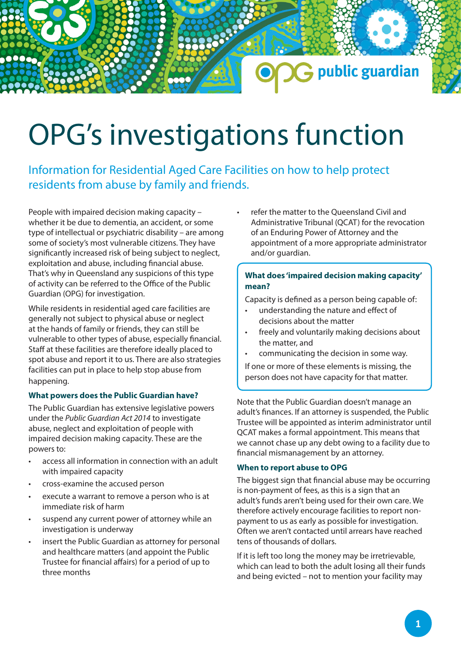# OPG's investigations function

Information for Residential Aged Care Facilities on how to help protect residents from abuse by family and friends.

People with impaired decision making capacity – whether it be due to dementia, an accident, or some type of intellectual or psychiatric disability – are among some of society's most vulnerable citizens. They have significantly increased risk of being subject to neglect, exploitation and abuse, including financial abuse. That's why in Queensland any suspicions of this type of activity can be referred to the Office of the Public Guardian (OPG) for investigation.

While residents in residential aged care facilities are generally not subject to physical abuse or neglect at the hands of family or friends, they can still be vulnerable to other types of abuse, especially financial. Staff at these facilities are therefore ideally placed to spot abuse and report it to us. There are also strategies facilities can put in place to help stop abuse from happening.

### **What powers does the Public Guardian have?**

The Public Guardian has extensive legislative powers under the *Public Guardian Act 2014* to investigate abuse, neglect and exploitation of people with impaired decision making capacity. These are the powers to:

- access all information in connection with an adult with impaired capacity
- cross-examine the accused person
- execute a warrant to remove a person who is at immediate risk of harm
- suspend any current power of attorney while an investigation is underway
- insert the Public Guardian as attorney for personal and healthcare matters (and appoint the Public Trustee for financial affairs) for a period of up to three months

• refer the matter to the Queensland Civil and Administrative Tribunal (QCAT) for the revocation of an Enduring Power of Attorney and the appointment of a more appropriate administrator and/or guardian.

G public guardian

## **What does 'impaired decision making capacity' mean?**

Capacity is defined as a person being capable of:

- understanding the nature and effect of decisions about the matter
- freely and voluntarily making decisions about the matter, and
- communicating the decision in some way.

If one or more of these elements is missing, the person does not have capacity for that matter.

Note that the Public Guardian doesn't manage an adult's finances. If an attorney is suspended, the Public Trustee will be appointed as interim administrator until QCAT makes a formal appointment. This means that we cannot chase up any debt owing to a facility due to financial mismanagement by an attorney.

### **When to report abuse to OPG**

The biggest sign that financial abuse may be occurring is non-payment of fees, as this is a sign that an adult's funds aren't being used for their own care. We therefore actively encourage facilities to report nonpayment to us as early as possible for investigation. Often we aren't contacted until arrears have reached tens of thousands of dollars.

If it is left too long the money may be irretrievable, which can lead to both the adult losing all their funds and being evicted – not to mention your facility may